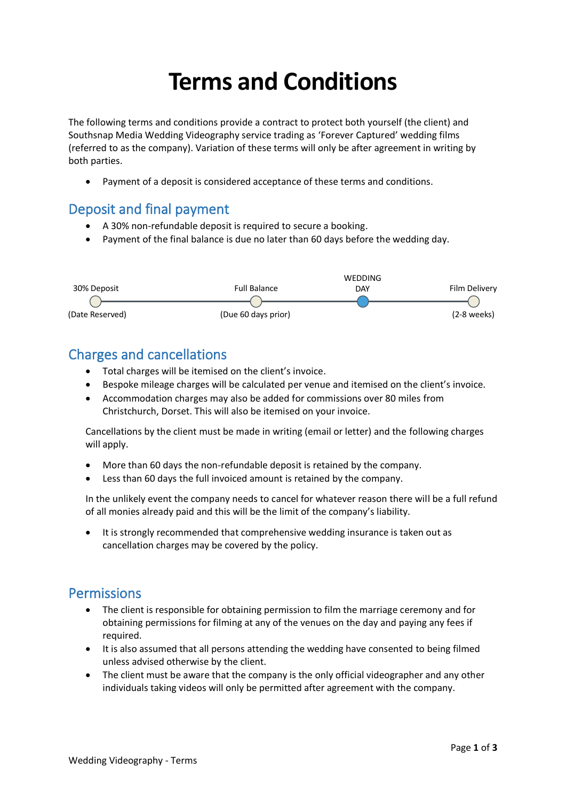# **Terms and Conditions**

The following terms and conditions provide a contract to protect both yourself (the client) and Southsnap Media Wedding Videography service trading as 'Forever Captured' wedding films (referred to as the company). Variation of these terms will only be after agreement in writing by both parties.

• Payment of a deposit is considered acceptance of these terms and conditions.

#### Deposit and final payment

- A 30% non-refundable deposit is required to secure a booking.
- Payment of the final balance is due no later than 60 days before the wedding day.



#### Charges and cancellations

- Total charges will be itemised on the client's invoice.
- Bespoke mileage charges will be calculated per venue and itemised on the client's invoice.
- Accommodation charges may also be added for commissions over 80 miles from Christchurch, Dorset. This will also be itemised on your invoice.

Cancellations by the client must be made in writing (email or letter) and the following charges will apply.

- More than 60 days the non-refundable deposit is retained by the company.
- Less than 60 days the full invoiced amount is retained by the company.

In the unlikely event the company needs to cancel for whatever reason there will be a full refund of all monies already paid and this will be the limit of the company's liability.

It is strongly recommended that comprehensive wedding insurance is taken out as cancellation charges may be covered by the policy.

#### **Permissions**

- The client is responsible for obtaining permission to film the marriage ceremony and for obtaining permissions for filming at any of the venues on the day and paying any fees if required.
- It is also assumed that all persons attending the wedding have consented to being filmed unless advised otherwise by the client.
- The client must be aware that the company is the only official videographer and any other individuals taking videos will only be permitted after agreement with the company.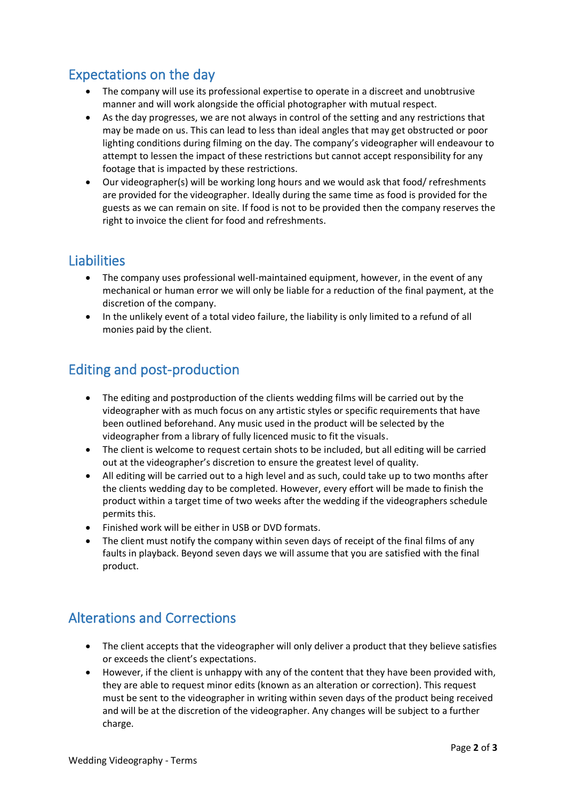# Expectations on the day

- The company will use its professional expertise to operate in a discreet and unobtrusive manner and will work alongside the official photographer with mutual respect.
- As the day progresses, we are not always in control of the setting and any restrictions that may be made on us. This can lead to less than ideal angles that may get obstructed or poor lighting conditions during filming on the day. The company's videographer will endeavour to attempt to lessen the impact of these restrictions but cannot accept responsibility for any footage that is impacted by these restrictions.
- Our videographer(s) will be working long hours and we would ask that food/ refreshments are provided for the videographer. Ideally during the same time as food is provided for the guests as we can remain on site. If food is not to be provided then the company reserves the right to invoice the client for food and refreshments.

#### **Liabilities**

- The company uses professional well-maintained equipment, however, in the event of any mechanical or human error we will only be liable for a reduction of the final payment, at the discretion of the company.
- In the unlikely event of a total video failure, the liability is only limited to a refund of all monies paid by the client.

#### Editing and post-production

- The editing and postproduction of the clients wedding films will be carried out by the videographer with as much focus on any artistic styles or specific requirements that have been outlined beforehand. Any music used in the product will be selected by the videographer from a library of fully licenced music to fit the visuals.
- The client is welcome to request certain shots to be included, but all editing will be carried out at the videographer's discretion to ensure the greatest level of quality.
- All editing will be carried out to a high level and as such, could take up to two months after the clients wedding day to be completed. However, every effort will be made to finish the product within a target time of two weeks after the wedding if the videographers schedule permits this.
- Finished work will be either in USB or DVD formats.
- The client must notify the company within seven days of receipt of the final films of any faults in playback. Beyond seven days we will assume that you are satisfied with the final product.

## Alterations and Corrections

- The client accepts that the videographer will only deliver a product that they believe satisfies or exceeds the client's expectations.
- However, if the client is unhappy with any of the content that they have been provided with, they are able to request minor edits (known as an alteration or correction). This request must be sent to the videographer in writing within seven days of the product being received and will be at the discretion of the videographer. Any changes will be subject to a further charge.